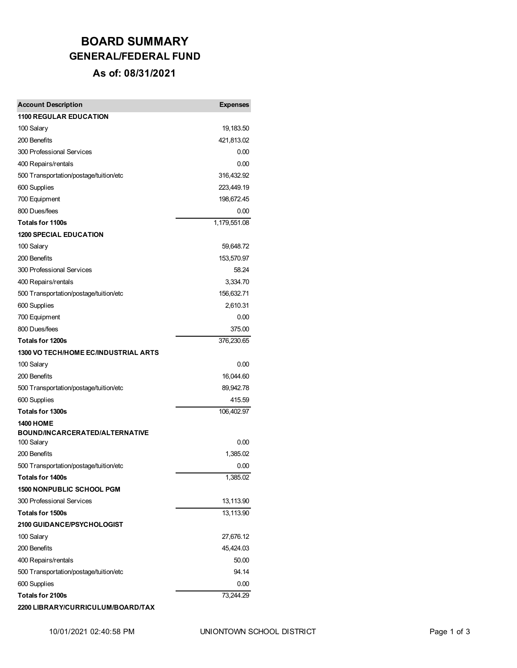## **BOARD SUMMARY GENERAL/FEDERAL FUND As of: 08/31/2021**

| <b>Account Description</b>                                 | <b>Expenses</b>  |
|------------------------------------------------------------|------------------|
| <b>1100 REGULAR EDUCATION</b>                              |                  |
| 100 Salary                                                 | 19,183.50        |
| 200 Benefits                                               | 421,813.02       |
| 300 Professional Services                                  | 0.00             |
| 400 Repairs/rentals                                        | 0.00             |
| 500 Transportation/postage/tuition/etc                     | 316,432.92       |
| 600 Supplies                                               | 223,449.19       |
| 700 Equipment                                              | 198,672.45       |
| 800 Dues/fees                                              | 0.00             |
| <b>Totals for 1100s</b>                                    | 1,179,551.08     |
| <b>1200 SPECIAL EDUCATION</b>                              |                  |
| 100 Salary                                                 | 59,648.72        |
| 200 Benefits                                               | 153,570.97       |
| 300 Professional Services                                  | 58.24            |
| 400 Repairs/rentals                                        | 3,334.70         |
| 500 Transportation/postage/tuition/etc                     | 156,632.71       |
| 600 Supplies                                               | 2,610.31         |
| 700 Equipment                                              | 0.00             |
| 800 Dues/fees                                              | 375.00           |
| <b>Totals for 1200s</b>                                    | 376,230.65       |
| 1300 VO TECH/HOME EC/INDUSTRIAL ARTS                       |                  |
| 100 Salary                                                 | 0.00             |
| 200 Benefits                                               | 16,044.60        |
| 500 Transportation/postage/tuition/etc                     | 89,942.78        |
| 600 Supplies                                               | 415.59           |
| <b>Totals for 1300s</b>                                    | 106,402.97       |
| <b>1400 HOME</b>                                           |                  |
| BOUND/INCARCERATED/ALTERNATIVE                             |                  |
| 100 Salary                                                 | 0.00             |
| 200 Benefits                                               | 1,385.02         |
| 500 Transportation/postage/tuition/etc<br>Totals for 1400s | 0.00<br>1,385.02 |
| <b>1500 NONPUBLIC SCHOOL PGM</b>                           |                  |
| 300 Professional Services                                  | 13,113.90        |
| <b>Totals for 1500s</b>                                    | 13,113.90        |
| <b>2100 GUIDANCE/PSYCHOLOGIST</b>                          |                  |
| 100 Salary                                                 | 27,676.12        |
| 200 Benefits                                               | 45,424.03        |
| 400 Repairs/rentals                                        | 50.00            |
| 500 Transportation/postage/tuition/etc                     | 94.14            |
| 600 Supplies                                               | 0.00             |
| Totals for 2100s                                           | 73,244.29        |
| 2200 LIBRARY/CURRICULUM/BOARD/TAX                          |                  |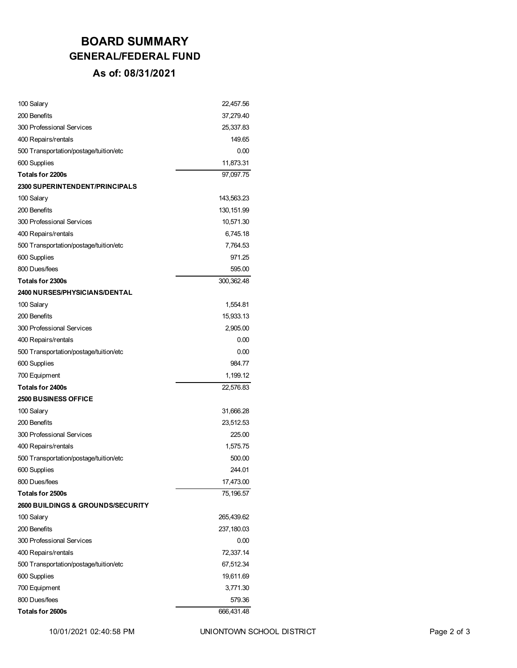## **BOARD SUMMARY GENERAL/FEDERAL FUND As of: 08/31/2021**

| 100 Salary                                   | 22,457.56   |
|----------------------------------------------|-------------|
| 200 Benefits                                 | 37,279.40   |
| 300 Professional Services                    | 25,337.83   |
| 400 Repairs/rentals                          | 149.65      |
| 500 Transportation/postage/tuition/etc       | 0.00        |
| 600 Supplies                                 | 11,873.31   |
| <b>Totals for 2200s</b>                      | 97,097.75   |
| <b>2300 SUPERINTENDENT/PRINCIPALS</b>        |             |
| 100 Salary                                   | 143,563.23  |
| 200 Benefits                                 | 130, 151.99 |
| 300 Professional Services                    | 10,571.30   |
| 400 Repairs/rentals                          | 6,745.18    |
| 500 Transportation/postage/tuition/etc       | 7,764.53    |
| 600 Supplies                                 | 971.25      |
| 800 Dues/fees                                | 595.00      |
| Totals for 2300s                             | 300,362.48  |
| <b>2400 NURSES/PHYSICIANS/DENTAL</b>         |             |
| 100 Salary                                   | 1,554.81    |
| 200 Benefits                                 | 15,933.13   |
| 300 Professional Services                    | 2,905.00    |
| 400 Repairs/rentals                          | 0.00        |
| 500 Transportation/postage/tuition/etc       | 0.00        |
| 600 Supplies                                 | 984.77      |
| 700 Equipment                                | 1,199.12    |
| <b>Totals for 2400s</b>                      | 22,576.83   |
| <b>2500 BUSINESS OFFICE</b>                  |             |
| 100 Salary                                   | 31,666.28   |
| 200 Benefits                                 | 23,512.53   |
| 300 Professional Services                    | 225.00      |
| 400 Repairs/rentals                          | 1,575.75    |
| 500 Transportation/postage/tuition/etc       | 500.00      |
| 600 Supplies                                 | 244.01      |
| 800 Dues/fees                                | 17,473.00   |
| Totals for 2500s                             | 75,196.57   |
| <b>2600 BUILDINGS &amp; GROUNDS/SECURITY</b> |             |
| 100 Salary                                   | 265,439.62  |
| 200 Benefits                                 | 237,180.03  |
| 300 Professional Services                    | 0.00        |
| 400 Repairs/rentals                          | 72,337.14   |
| 500 Transportation/postage/tuition/etc       | 67,512.34   |
| 600 Supplies                                 | 19,611.69   |
| 700 Equipment                                | 3,771.30    |
| 800 Dues/fees                                | 579.36      |
| Totals for 2600s                             | 666,431.48  |
|                                              |             |